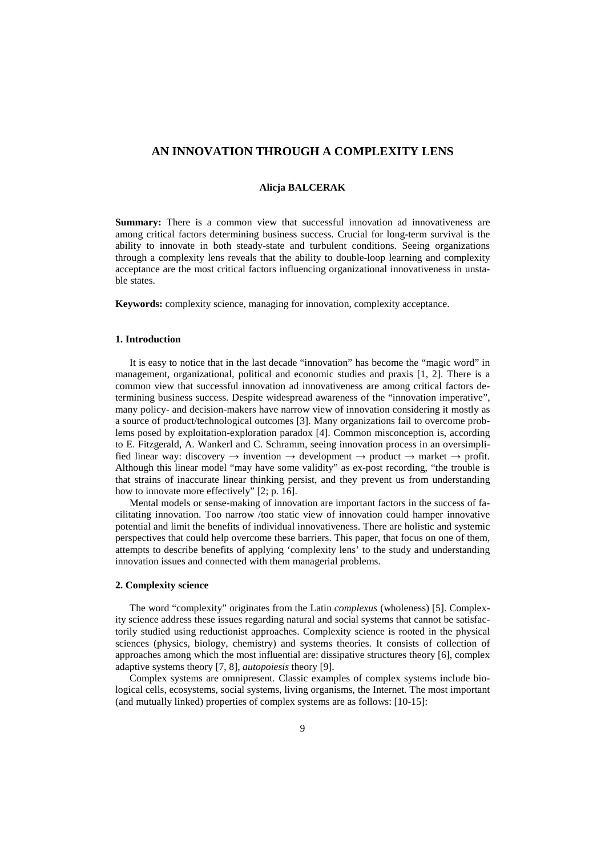# **AN INNOVATION THROUGH A COMPLEXITY LENS**

## **Alicja BALCERAK**

**Summary:** There is a common view that successful innovation ad innovativeness are among critical factors determining business success. Crucial for long-term survival is the ability to innovate in both steady-state and turbulent conditions. Seeing organizations through a complexity lens reveals that the ability to double-loop learning and complexity acceptance are the most critical factors influencing organizational innovativeness in unstable states.

**Keywords:** complexity science, managing for innovation, complexity acceptance.

## **1. Introduction**

It is easy to notice that in the last decade "innovation" has become the "magic word" in management, organizational, political and economic studies and praxis [1, 2]. There is a common view that successful innovation ad innovativeness are among critical factors determining business success. Despite widespread awareness of the "innovation imperative", many policy- and decision-makers have narrow view of innovation considering it mostly as a source of product/technological outcomes [3]. Many organizations fail to overcome problems posed by exploitation-exploration paradox [4]. Common misconception is, according to E. Fitzgerald, A. Wankerl and C. Schramm, seeing innovation process in an oversimplified linear way: discovery  $\rightarrow$  invention  $\rightarrow$  development  $\rightarrow$  product  $\rightarrow$  market  $\rightarrow$  profit. Although this linear model "may have some validity" as ex-post recording, "the trouble is that strains of inaccurate linear thinking persist, and they prevent us from understanding how to innovate more effectively" [2; p. 16].

Mental models or sense-making of innovation are important factors in the success of facilitating innovation. Too narrow /too static view of innovation could hamper innovative potential and limit the benefits of individual innovativeness. There are holistic and systemic perspectives that could help overcome these barriers. This paper, that focus on one of them, attempts to describe benefits of applying 'complexity lens' to the study and understanding innovation issues and connected with them managerial problems.

### **2. Complexity science**

The word "complexity" originates from the Latin *complexus* (wholeness) [5]. Complexity science address these issues regarding natural and social systems that cannot be satisfactorily studied using reductionist approaches. Complexity science is rooted in the physical sciences (physics, biology, chemistry) and systems theories. It consists of collection of approaches among which the most influential are: dissipative structures theory [6], complex adaptive systems theory [7, 8], *autopoiesis* theory [9].

Complex systems are omnipresent. Classic examples of complex systems include biological cells, ecosystems, social systems, living organisms, the Internet. The most important (and mutually linked) properties of complex systems are as follows: [10-15]: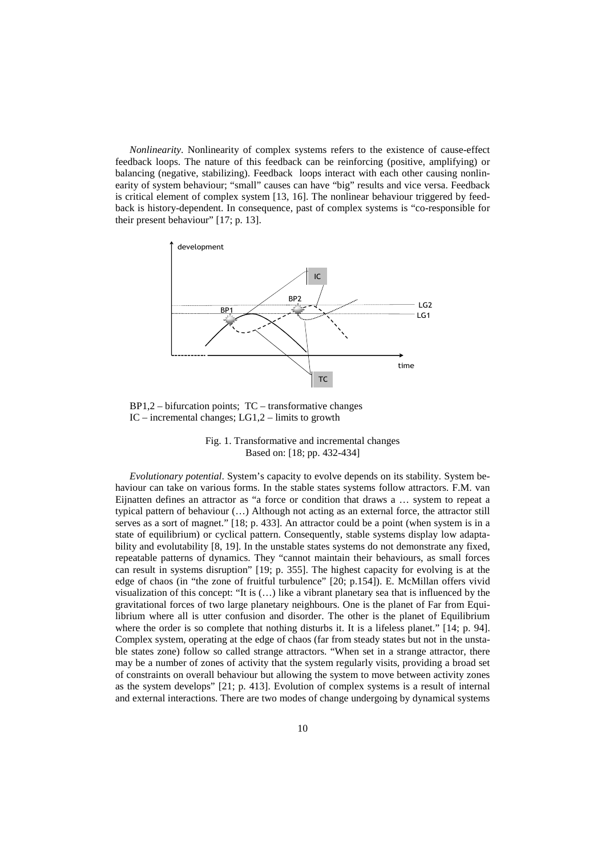*Nonlinearity*. Nonlinearity of complex systems refers to the existence of cause-effect feedback loops. The nature of this feedback can be reinforcing (positive, amplifying) or balancing (negative, stabilizing). Feedback loops interact with each other causing nonlinearity of system behaviour; "small" causes can have "big" results and vice versa. Feedback is critical element of complex system [13, 16]. The nonlinear behaviour triggered by feedback is history-dependent. In consequence, past of complex systems is "co-responsible for their present behaviour" [17; p. 13].



 $BP1,2$  – bifurcation points;  $TC$  – transformative changes IC – incremental changes;  $LG1,2$  – limits to growth



*Evolutionary potential*. System's capacity to evolve depends on its stability. System behaviour can take on various forms. In the stable states systems follow attractors. F.M. van Eijnatten defines an attractor as "a force or condition that draws a … system to repeat a typical pattern of behaviour (…) Although not acting as an external force, the attractor still serves as a sort of magnet." [18; p. 433]. An attractor could be a point (when system is in a state of equilibrium) or cyclical pattern. Consequently, stable systems display low adaptability and evolutability [8, 19]. In the unstable states systems do not demonstrate any fixed, repeatable patterns of dynamics. They "cannot maintain their behaviours, as small forces can result in systems disruption" [19; p. 355]. The highest capacity for evolving is at the edge of chaos (in "the zone of fruitful turbulence" [20; p.154]). E. McMillan offers vivid visualization of this concept: "It is (…) like a vibrant planetary sea that is influenced by the gravitational forces of two large planetary neighbours. One is the planet of Far from Equilibrium where all is utter confusion and disorder. The other is the planet of Equilibrium where the order is so complete that nothing disturbs it. It is a lifeless planet." [14; p. 94]. Complex system, operating at the edge of chaos (far from steady states but not in the unstable states zone) follow so called strange attractors. "When set in a strange attractor, there may be a number of zones of activity that the system regularly visits, providing a broad set of constraints on overall behaviour but allowing the system to move between activity zones as the system develops" [21; p. 413]. Evolution of complex systems is a result of internal and external interactions. There are two modes of change undergoing by dynamical systems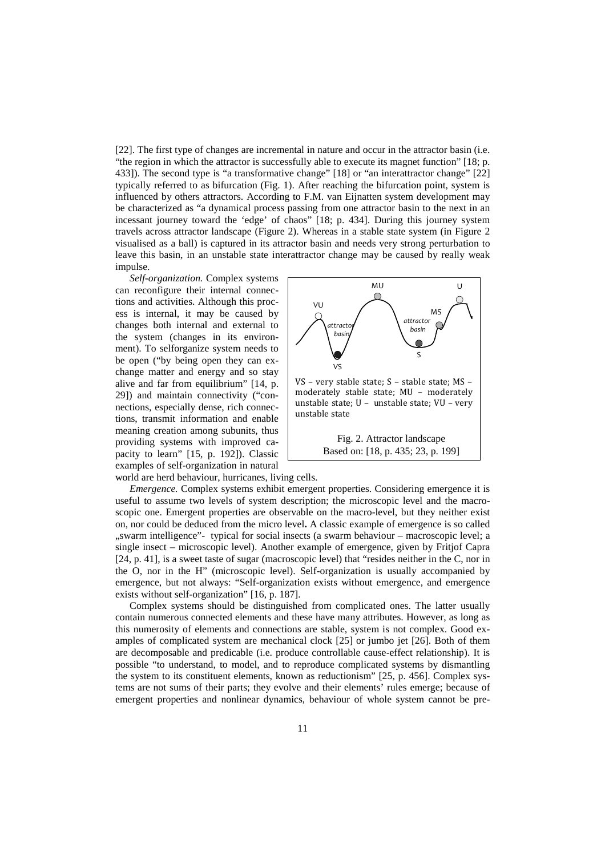[22]. The first type of changes are incremental in nature and occur in the attractor basin (i.e. "the region in which the attractor is successfully able to execute its magnet function" [18; p. 433]). The second type is "a transformative change" [18] or "an interattractor change" [22] typically referred to as bifurcation (Fig. 1). After reaching the bifurcation point, system is influenced by others attractors. According to F.M. van Eijnatten system development may be characterized as "a dynamical process passing from one attractor basin to the next in an incessant journey toward the 'edge' of chaos" [18; p. 434]. During this journey system travels across attractor landscape (Figure 2). Whereas in a stable state system (in Figure 2 visualised as a ball) is captured in its attractor basin and needs very strong perturbation to leave this basin, in an unstable state interattractor change may be caused by really weak impulse.

*Self-organization.* Complex systems can reconfigure their internal connections and activities. Although this process is internal, it may be caused by changes both internal and external to the system (changes in its environment). To selforganize system needs to be open ("by being open they can exchange matter and energy and so stay alive and far from equilibrium" [14, p. 29]) and maintain connectivity ("connections, especially dense, rich connections, transmit information and enable meaning creation among subunits, thus providing systems with improved capacity to learn" [15, p. 192]). Classic examples of self-organization in natural



world are herd behaviour, hurricanes, living cells.

*Emergence.* Complex systems exhibit emergent properties. Considering emergence it is useful to assume two levels of system description; the microscopic level and the macroscopic one. Emergent properties are observable on the macro-level, but they neither exist on, nor could be deduced from the micro level**.** A classic example of emergence is so called "swarm intelligence"- typical for social insects (a swarm behaviour – macroscopic level; a single insect – microscopic level). Another example of emergence, given by Fritjof Capra [24, p. 41], is a sweet taste of sugar (macroscopic level) that "resides neither in the C, nor in the O, nor in the H" (microscopic level). Self-organization is usually accompanied by emergence, but not always: "Self-organization exists without emergence, and emergence exists without self-organization" [16, p. 187].

Complex systems should be distinguished from complicated ones. The latter usually contain numerous connected elements and these have many attributes. However, as long as this numerosity of elements and connections are stable, system is not complex. Good examples of complicated system are mechanical clock [25] or jumbo jet [26]. Both of them are decomposable and predicable (i.e. produce controllable cause-effect relationship). It is possible "to understand, to model, and to reproduce complicated systems by dismantling the system to its constituent elements, known as reductionism" [25, p. 456]. Complex systems are not sums of their parts; they evolve and their elements' rules emerge; because of emergent properties and nonlinear dynamics, behaviour of whole system cannot be pre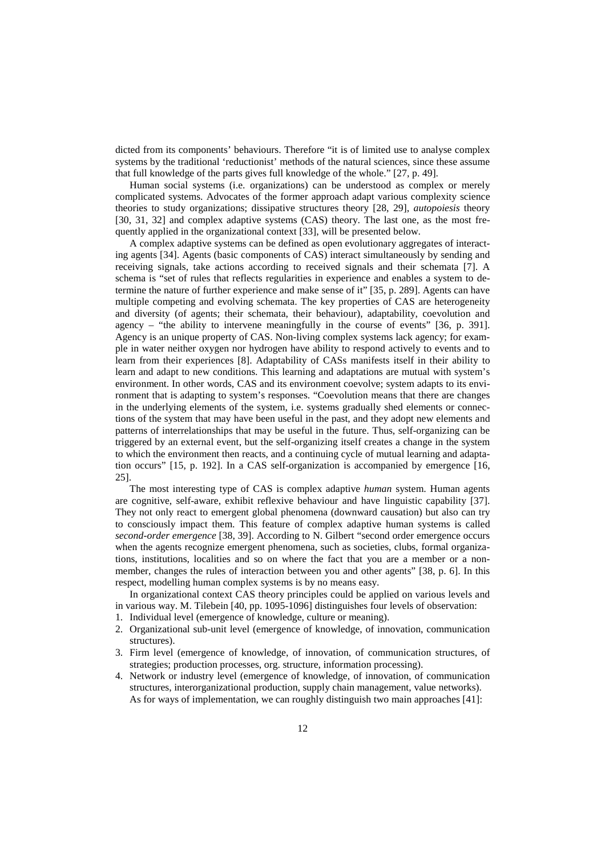dicted from its components' behaviours. Therefore "it is of limited use to analyse complex systems by the traditional 'reductionist' methods of the natural sciences, since these assume that full knowledge of the parts gives full knowledge of the whole." [27, p. 49].

Human social systems (i.e. organizations) can be understood as complex or merely complicated systems. Advocates of the former approach adapt various complexity science theories to study organizations; dissipative structures theory [28, 29], *autopoiesis* theory [30, 31, 32] and complex adaptive systems (CAS) theory. The last one, as the most frequently applied in the organizational context [33], will be presented below.

A complex adaptive systems can be defined as open evolutionary aggregates of interacting agents [34]. Agents (basic components of CAS) interact simultaneously by sending and receiving signals, take actions according to received signals and their schemata [7]. A schema is "set of rules that reflects regularities in experience and enables a system to determine the nature of further experience and make sense of it" [35, p. 289]. Agents can have multiple competing and evolving schemata. The key properties of CAS are heterogeneity and diversity (of agents; their schemata, their behaviour), adaptability, coevolution and agency – "the ability to intervene meaningfully in the course of events" [36, p. 391]. Agency is an unique property of CAS. Non-living complex systems lack agency; for example in water neither oxygen nor hydrogen have ability to respond actively to events and to learn from their experiences [8]. Adaptability of CASs manifests itself in their ability to learn and adapt to new conditions. This learning and adaptations are mutual with system's environment. In other words, CAS and its environment coevolve; system adapts to its environment that is adapting to system's responses. "Coevolution means that there are changes in the underlying elements of the system, i.e. systems gradually shed elements or connections of the system that may have been useful in the past, and they adopt new elements and patterns of interrelationships that may be useful in the future. Thus, self-organizing can be triggered by an external event, but the self-organizing itself creates a change in the system to which the environment then reacts, and a continuing cycle of mutual learning and adaptation occurs" [15, p. 192]. In a CAS self-organization is accompanied by emergence [16, 25].

The most interesting type of CAS is complex adaptive *human* system. Human agents are cognitive, self-aware, exhibit reflexive behaviour and have linguistic capability [37]. They not only react to emergent global phenomena (downward causation) but also can try to consciously impact them. This feature of complex adaptive human systems is called *second-order emergence* [38, 39]. According to N. Gilbert "second order emergence occurs when the agents recognize emergent phenomena, such as societies, clubs, formal organizations, institutions, localities and so on where the fact that you are a member or a nonmember, changes the rules of interaction between you and other agents" [38, p. 6]. In this respect, modelling human complex systems is by no means easy.

In organizational context CAS theory principles could be applied on various levels and in various way. M. Tilebein [40, pp. 1095-1096] distinguishes four levels of observation:

- 1. Individual level (emergence of knowledge, culture or meaning).
- 2. Organizational sub-unit level (emergence of knowledge, of innovation, communication structures).
- 3. Firm level (emergence of knowledge, of innovation, of communication structures, of strategies; production processes, org. structure, information processing).
- 4. Network or industry level (emergence of knowledge, of innovation, of communication structures, interorganizational production, supply chain management, value networks). As for ways of implementation, we can roughly distinguish two main approaches [41]: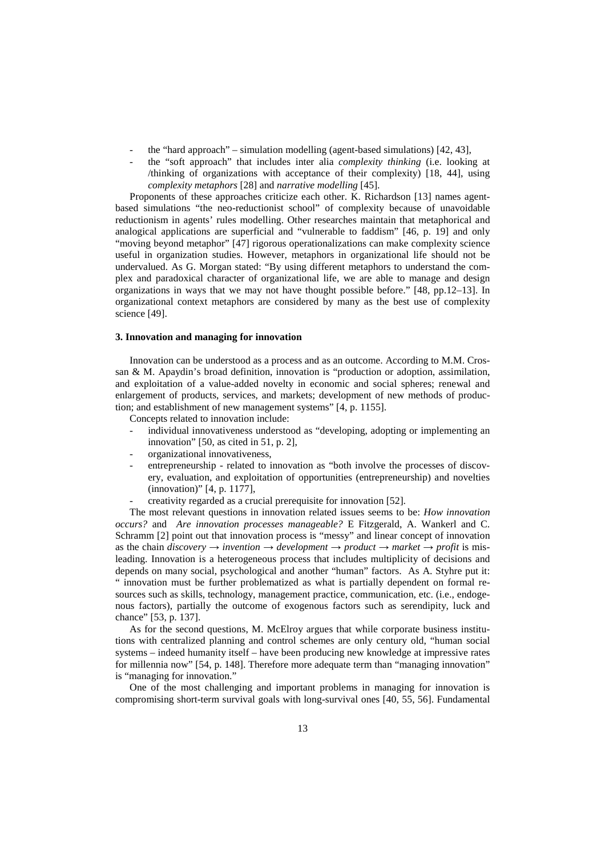- the "hard approach" simulation modelling (agent-based simulations)  $[42, 43]$ ,
- the "soft approach" that includes inter alia *complexity thinking* (i.e. looking at /thinking of organizations with acceptance of their complexity) [18, 44], using *complexity metaphors* [28] and *narrative modelling* [45].

Proponents of these approaches criticize each other. K. Richardson [13] names agentbased simulations "the neo-reductionist school" of complexity because of unavoidable reductionism in agents' rules modelling. Other researches maintain that metaphorical and analogical applications are superficial and "vulnerable to faddism" [46, p. 19] and only "moving beyond metaphor" [47] rigorous operationalizations can make complexity science useful in organization studies. However, metaphors in organizational life should not be undervalued. As G. Morgan stated: "By using different metaphors to understand the complex and paradoxical character of organizational life, we are able to manage and design organizations in ways that we may not have thought possible before." [48, pp.12–13]. In organizational context metaphors are considered by many as the best use of complexity science [49].

#### **3. Innovation and managing for innovation**

Innovation can be understood as a process and as an outcome. According to M.M. Crossan & M. Apaydin's broad definition, innovation is "production or adoption, assimilation, and exploitation of a value-added novelty in economic and social spheres; renewal and enlargement of products, services, and markets; development of new methods of production; and establishment of new management systems" [4, p. 1155].

Concepts related to innovation include:

- individual innovativeness understood as "developing, adopting or implementing an innovation" [50, as cited in 51, p. 2],
- organizational innovativeness,
- entrepreneurship related to innovation as "both involve the processes of discovery, evaluation, and exploitation of opportunities (entrepreneurship) and novelties (innovation)" [4, p. 1177],
- creativity regarded as a crucial prerequisite for innovation [52].

The most relevant questions in innovation related issues seems to be: *How innovation occurs?* and *Are innovation processes manageable?* E Fitzgerald, A. Wankerl and C. Schramm [2] point out that innovation process is "messy" and linear concept of innovation as the chain *discovery*  $\rightarrow$  *invention*  $\rightarrow$  *development*  $\rightarrow$  *product*  $\rightarrow$  *market*  $\rightarrow$  *profit* is misleading. Innovation is a heterogeneous process that includes multiplicity of decisions and depends on many social, psychological and another "human" factors. As A. Styhre put it: " innovation must be further problematized as what is partially dependent on formal resources such as skills, technology, management practice, communication, etc. (i.e., endogenous factors), partially the outcome of exogenous factors such as serendipity, luck and chance" [53, p. 137].

As for the second questions, M. McElroy argues that while corporate business institutions with centralized planning and control schemes are only century old, "human social systems – indeed humanity itself – have been producing new knowledge at impressive rates for millennia now" [54, p. 148]. Therefore more adequate term than "managing innovation" is "managing for innovation."

One of the most challenging and important problems in managing for innovation is compromising short-term survival goals with long-survival ones [40, 55, 56]. Fundamental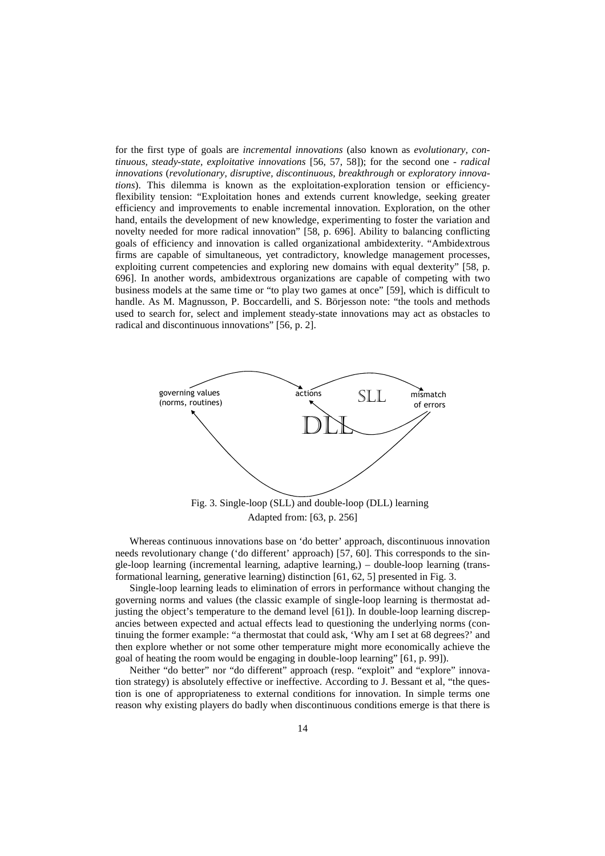for the first type of goals are *incremental innovations* (also known as *evolutionary, continuous, steady-state, exploitative innovations* [56, 57, 58]); for the second one - *radical innovations* (*revolutionary, disruptive, discontinuous, breakthrough* or *exploratory innovations*). This dilemma is known as the exploitation-exploration tension or efficiencyflexibility tension: "Exploitation hones and extends current knowledge, seeking greater efficiency and improvements to enable incremental innovation. Exploration, on the other hand, entails the development of new knowledge, experimenting to foster the variation and novelty needed for more radical innovation" [58, p. 696]. Ability to balancing conflicting goals of efficiency and innovation is called organizational ambidexterity. "Ambidextrous firms are capable of simultaneous, yet contradictory, knowledge management processes, exploiting current competencies and exploring new domains with equal dexterity" [58, p. 696]. In another words, ambidextrous organizations are capable of competing with two business models at the same time or "to play two games at once" [59], which is difficult to handle. As M. Magnusson, P. Boccardelli, and S. Börjesson note: "the tools and methods used to search for, select and implement steady-state innovations may act as obstacles to radical and discontinuous innovations" [56, p. 2].



Adapted from: [63, p. 256]

Whereas continuous innovations base on 'do better' approach, discontinuous innovation needs revolutionary change ('do different' approach) [57, 60]. This corresponds to the single-loop learning (incremental learning, adaptive learning,) – double-loop learning (transformational learning, generative learning) distinction [61, 62, 5] presented in Fig. 3.

Single-loop learning leads to elimination of errors in performance without changing the governing norms and values (the classic example of single-loop learning is thermostat adjusting the object's temperature to the demand level [61]). In double-loop learning discrepancies between expected and actual effects lead to questioning the underlying norms (continuing the former example: "a thermostat that could ask, 'Why am I set at 68 degrees?' and then explore whether or not some other temperature might more economically achieve the goal of heating the room would be engaging in double-loop learning" [61, p. 99]).

Neither "do better" nor "do different" approach (resp. "exploit" and "explore" innovation strategy) is absolutely effective or ineffective. According to J. Bessant et al, "the question is one of appropriateness to external conditions for innovation. In simple terms one reason why existing players do badly when discontinuous conditions emerge is that there is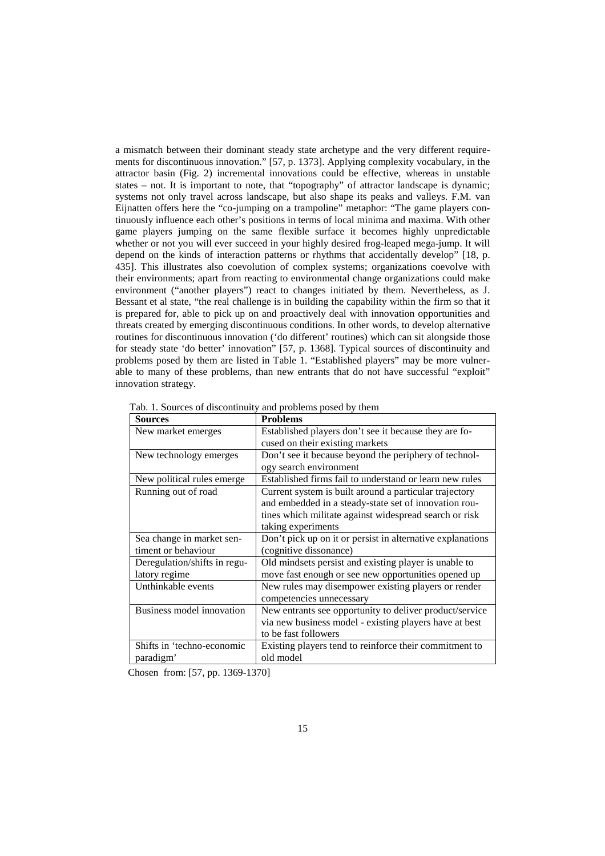a mismatch between their dominant steady state archetype and the very different requirements for discontinuous innovation." [57, p. 1373]. Applying complexity vocabulary, in the attractor basin (Fig. 2) incremental innovations could be effective, whereas in unstable states – not. It is important to note, that "topography" of attractor landscape is dynamic; systems not only travel across landscape, but also shape its peaks and valleys. F.M. van Eijnatten offers here the "co-jumping on a trampoline" metaphor: "The game players continuously influence each other's positions in terms of local minima and maxima. With other game players jumping on the same flexible surface it becomes highly unpredictable whether or not you will ever succeed in your highly desired frog-leaped mega-jump. It will depend on the kinds of interaction patterns or rhythms that accidentally develop" [18, p. 435]. This illustrates also coevolution of complex systems; organizations coevolve with their environments; apart from reacting to environmental change organizations could make environment ("another players") react to changes initiated by them. Nevertheless, as J. Bessant et al state, "the real challenge is in building the capability within the firm so that it is prepared for, able to pick up on and proactively deal with innovation opportunities and threats created by emerging discontinuous conditions. In other words, to develop alternative routines for discontinuous innovation ('do different' routines) which can sit alongside those for steady state 'do better' innovation" [57, p. 1368]. Typical sources of discontinuity and problems posed by them are listed in Table 1. "Established players" may be more vulnerable to many of these problems, than new entrants that do not have successful "exploit" innovation strategy.

| <b>Sources</b>               | <b>Problems</b>                                            |
|------------------------------|------------------------------------------------------------|
| New market emerges           | Established players don't see it because they are fo-      |
|                              | cused on their existing markets                            |
| New technology emerges       | Don't see it because beyond the periphery of technol-      |
|                              | ogy search environment                                     |
| New political rules emerge.  | Established firms fail to understand or learn new rules    |
| Running out of road          | Current system is built around a particular trajectory     |
|                              | and embedded in a steady-state set of innovation rou-      |
|                              | tines which militate against widespread search or risk     |
|                              | taking experiments                                         |
| Sea change in market sen-    | Don't pick up on it or persist in alternative explanations |
| timent or behaviour          | (cognitive dissonance)                                     |
| Deregulation/shifts in regu- | Old mindsets persist and existing player is unable to      |
| latory regime                | move fast enough or see new opportunities opened up        |
| Unthinkable events           | New rules may disempower existing players or render        |
|                              | competencies unnecessary                                   |
| Business model innovation    | New entrants see opportunity to deliver product/service    |
|                              | via new business model - existing players have at best     |
|                              | to be fast followers                                       |
| Shifts in 'techno-economic   | Existing players tend to reinforce their commitment to     |
| paradigm'                    | old model                                                  |

Tab. 1. Sources of discontinuity and problems posed by them

Chosen from: [57, pp. 1369-1370]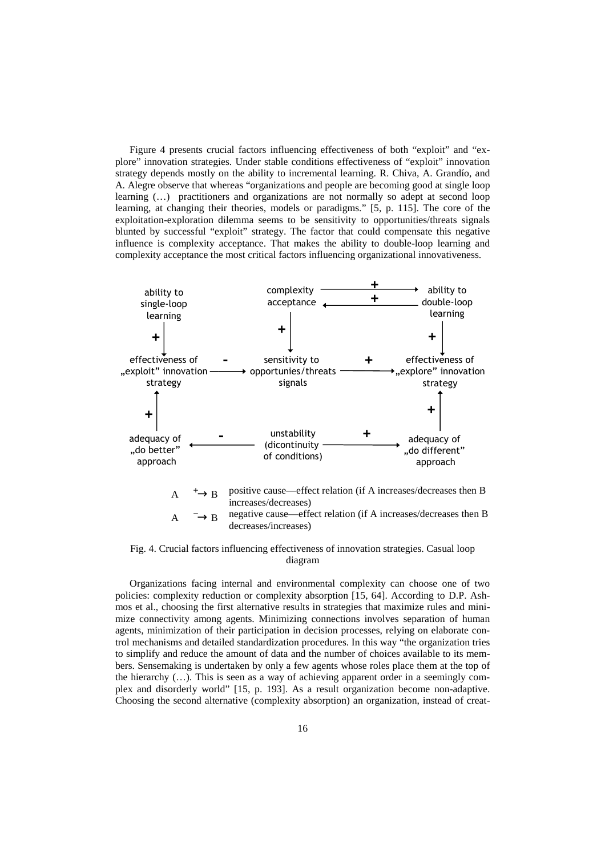Figure 4 presents crucial factors influencing effectiveness of both "exploit" and "explore" innovation strategies. Under stable conditions effectiveness of "exploit" innovation strategy depends mostly on the ability to incremental learning. R. Chiva, A. Grandío, and A. Alegre observe that whereas "organizations and people are becoming good at single loop learning (…) practitioners and organizations are not normally so adept at second loop learning, at changing their theories, models or paradigms." [5, p. 115]. The core of the exploitation-exploration dilemma seems to be sensitivity to opportunities/threats signals blunted by successful "exploit" strategy. The factor that could compensate this negative influence is complexity acceptance. That makes the ability to double-loop learning and complexity acceptance the most critical factors influencing organizational innovativeness.



Fig. 4. Crucial factors influencing effectiveness of innovation strategies. Casual loop diagram

Organizations facing internal and environmental complexity can choose one of two policies: complexity reduction or complexity absorption [15, 64]. According to D.P. Ashmos et al., choosing the first alternative results in strategies that maximize rules and minimize connectivity among agents. Minimizing connections involves separation of human agents, minimization of their participation in decision processes, relying on elaborate control mechanisms and detailed standardization procedures. In this way "the organization tries to simplify and reduce the amount of data and the number of choices available to its members. Sensemaking is undertaken by only a few agents whose roles place them at the top of the hierarchy (…). This is seen as a way of achieving apparent order in a seemingly complex and disorderly world" [15, p. 193]. As a result organization become non-adaptive. Choosing the second alternative (complexity absorption) an organization, instead of creat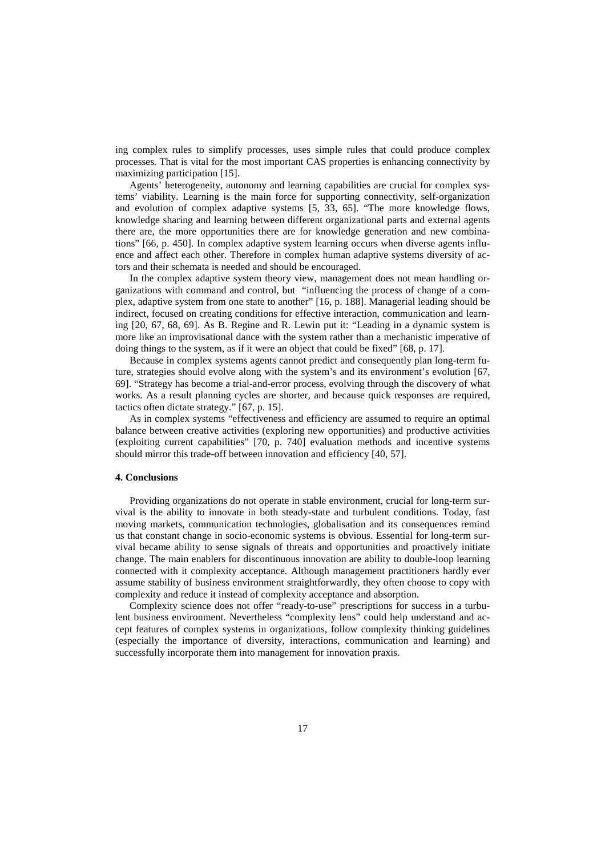ing complex rules to simplify processes, uses simple rules that could produce complex processes. That is vital for the most important CAS properties is enhancing connectivity by maximizing participation [15].

Agents' heterogeneity, autonomy and learning capabilities are crucial for complex systems' viability. Learning is the main force for supporting connectivity, self-organization and evolution of complex adaptive systems [5, 33, 65]. "The more knowledge flows, knowledge sharing and learning between different organizational parts and external agents there are, the more opportunities there are for knowledge generation and new combinations" [66, p. 450]. In complex adaptive system learning occurs when diverse agents influence and affect each other. Therefore in complex human adaptive systems diversity of actors and their schemata is needed and should be encouraged.

In the complex adaptive system theory view, management does not mean handling organizations with command and control, but "influencing the process of change of a complex, adaptive system from one state to another" [16, p. 188]. Managerial leading should be indirect, focused on creating conditions for effective interaction, communication and learning [20, 67, 68, 69]. As B. Regine and R. Lewin put it: "Leading in a dynamic system is more like an improvisational dance with the system rather than a mechanistic imperative of doing things to the system, as if it were an object that could be fixed" [68, p. 17].

Because in complex systems agents cannot predict and consequently plan long-term future, strategies should evolve along with the system's and its environment's evolution [67, 69]. "Strategy has become a trial-and-error process, evolving through the discovery of what works. As a result planning cycles are shorter, and because quick responses are required, tactics often dictate strategy." [67, p. 15].

As in complex systems "effectiveness and efficiency are assumed to require an optimal balance between creative activities (exploring new opportunities) and productive activities (exploiting current capabilities" [70, p. 740] evaluation methods and incentive systems should mirror this trade-off between innovation and efficiency [40, 57].

#### **4. Conclusions**

Providing organizations do not operate in stable environment, crucial for long-term survival is the ability to innovate in both steady-state and turbulent conditions. Today, fast moving markets, communication technologies, globalisation and its consequences remind us that constant change in socio-economic systems is obvious. Essential for long-term survival became ability to sense signals of threats and opportunities and proactively initiate change. The main enablers for discontinuous innovation are ability to double-loop learning connected with it complexity acceptance. Although management practitioners hardly ever assume stability of business environment straightforwardly, they often choose to copy with complexity and reduce it instead of complexity acceptance and absorption.

Complexity science does not offer "ready-to-use" prescriptions for success in a turbulent business environment. Nevertheless "complexity lens" could help understand and accept features of complex systems in organizations, follow complexity thinking guidelines (especially the importance of diversity, interactions, communication and learning) and successfully incorporate them into management for innovation praxis.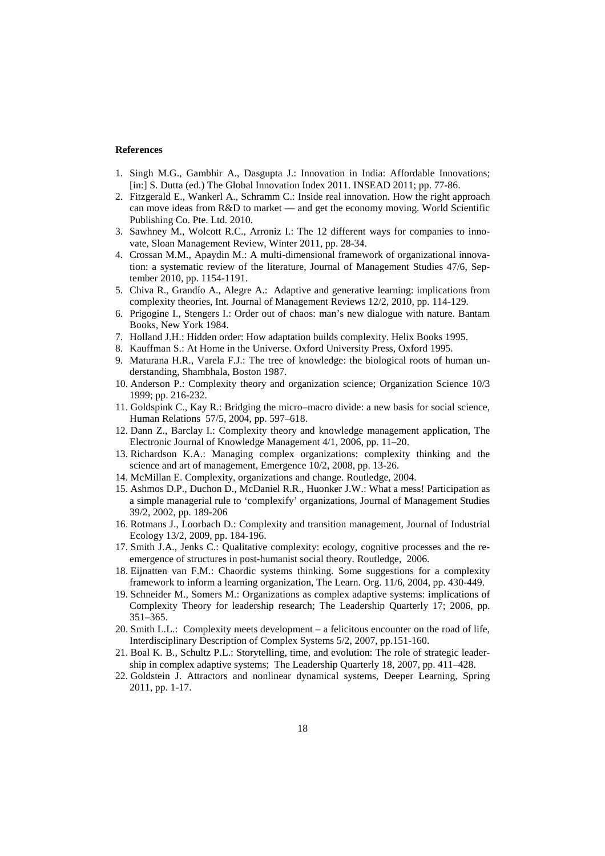#### **References**

- 1. Singh M.G., Gambhir A., Dasgupta J.: Innovation in India: Affordable Innovations; [in:] S. Dutta (ed.) The Global Innovation Index 2011. INSEAD 2011; pp. 77-86.
- 2. Fitzgerald E., Wankerl A., Schramm C.: Inside real innovation. How the right approach can move ideas from R&D to market — and get the economy moving. World Scientific Publishing Co. Pte. Ltd. 2010.
- 3. Sawhney M., Wolcott R.C., Arroniz I.: The 12 different ways for companies to innovate, Sloan Management Review, Winter 2011, pp. 28-34.
- 4. Crossan M.M., Apaydin M.: A multi-dimensional framework of organizational innovation: a systematic review of the literature, Journal of Management Studies 47/6, September 2010, pp. 1154-1191.
- 5. Chiva R., Grandío A., Alegre A.: Adaptive and generative learning: implications from complexity theories, Int. Journal of Management Reviews 12/2, 2010, pp. 114-129.
- 6. Prigogine I., Stengers I.: Order out of chaos: man's new dialogue with nature. Bantam Books, New York 1984.
- 7. Holland J.H.: Hidden order: How adaptation builds complexity. Helix Books 1995.
- 8. Kauffman S.: At Home in the Universe. Oxford University Press, Oxford 1995.
- 9. Maturana H.R., Varela F.J.: The tree of knowledge: the biological roots of human understanding, Shambhala, Boston 1987.
- 10. Anderson P.: Complexity theory and organization science; Organization Science 10/3 1999; pp. 216-232.
- 11. Goldspink C., Kay R.: Bridging the micro–macro divide: a new basis for social science, Human Relations 57/5, 2004, pp. 597–618.
- 12. Dann Z., Barclay I.: Complexity theory and knowledge management application, The Electronic Journal of Knowledge Management 4/1, 2006, pp. 11–20.
- 13. Richardson K.A.: Managing complex organizations: complexity thinking and the science and art of management, Emergence 10/2, 2008, pp. 13-26.
- 14. McMillan E. Complexity, organizations and change. Routledge, 2004.
- 15. Ashmos D.P., Duchon D., McDaniel R.R., Huonker J.W.: What a mess! Participation as a simple managerial rule to 'complexify' organizations, Journal of Management Studies 39/2, 2002, pp. 189-206
- 16. Rotmans J., Loorbach D.: Complexity and transition management, Journal of Industrial Ecology 13/2, 2009, pp. 184-196.
- 17. Smith J.A., Jenks C.: Qualitative complexity: ecology, cognitive processes and the reemergence of structures in post-humanist social theory. Routledge, 2006.
- 18. Eijnatten van F.M.: Chaordic systems thinking. Some suggestions for a complexity framework to inform a learning organization, The Learn. Org. 11/6, 2004, pp. 430-449.
- 19. Schneider M., Somers M.: Organizations as complex adaptive systems: implications of Complexity Theory for leadership research; The Leadership Quarterly 17; 2006, pp. 351–365.
- 20. Smith L.L.: Complexity meets development a felicitous encounter on the road of life, Interdisciplinary Description of Complex Systems 5/2, 2007, pp.151-160.
- 21. Boal K. B., Schultz P.L.: Storytelling, time, and evolution: The role of strategic leadership in complex adaptive systems; The Leadership Quarterly 18, 2007, pp. 411–428.
- 22. Goldstein J. Attractors and nonlinear dynamical systems, Deeper Learning, Spring 2011, pp. 1-17.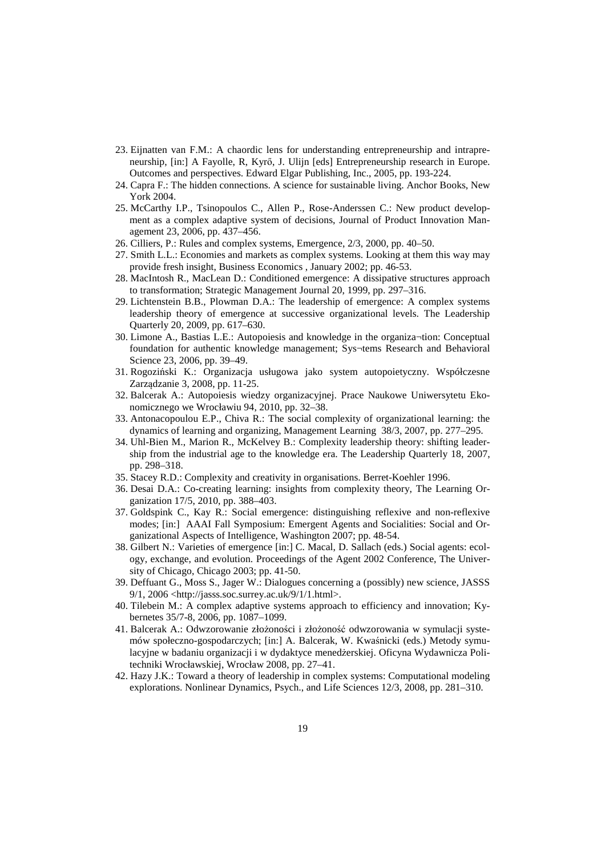- 23. Eijnatten van F.M.: A chaordic lens for understanding entrepreneurship and intrapreneurship, [in:] A Fayolle, R, Kyrő, J. Ulijn [eds] Entrepreneurship research in Europe. Outcomes and perspectives. Edward Elgar Publishing, Inc., 2005, pp. 193-224.
- 24. Capra F.: The hidden connections. A science for sustainable living. Anchor Books, New York 2004.
- 25. McCarthy I.P., Tsinopoulos C., Allen P., Rose-Anderssen C.: New product development as a complex adaptive system of decisions, Journal of Product Innovation Management 23, 2006, pp. 437–456.
- 26. Cilliers, P.: Rules and complex systems, Emergence, 2/3, 2000, pp. 40–50.
- 27. Smith L.L.: Economies and markets as complex systems. Looking at them this way may provide fresh insight, Business Economics , January 2002; pp. 46-53.
- 28. MacIntosh R., MacLean D.: Conditioned emergence: A dissipative structures approach to transformation; Strategic Management Journal 20, 1999, pp. 297–316.
- 29. Lichtenstein B.B., Plowman D.A.: The leadership of emergence: A complex systems leadership theory of emergence at successive organizational levels. The Leadership Quarterly 20, 2009, pp. 617–630.
- 30. Limone A., Bastias L.E.: Autopoiesis and knowledge in the organiza¬tion: Conceptual foundation for authentic knowledge management; Sys¬tems Research and Behavioral Science 23, 2006, pp. 39–49.
- 31. Rogoziński K.: Organizacja usługowa jako system autopoietyczny. Współczesne Zarządzanie 3, 2008, pp. 11-25.
- 32. Balcerak A.: Autopoiesis wiedzy organizacyjnej. Prace Naukowe Uniwersytetu Ekonomicznego we Wrocławiu 94, 2010, pp. 32–38.
- 33. Antonacopoulou E.P., Chiva R.: The social complexity of organizational learning: the dynamics of learning and organizing, Management Learning 38/3, 2007, pp. 277–295.
- 34. Uhl-Bien M., Marion R., McKelvey B.: Complexity leadership theory: shifting leadership from the industrial age to the knowledge era. The Leadership Quarterly 18, 2007, pp. 298–318.
- 35. Stacey R.D.: Complexity and creativity in organisations. Berret-Koehler 1996.
- 36. Desai D.A.: Co-creating learning: insights from complexity theory, The Learning Organization 17/5, 2010, pp. 388–403.
- 37. Goldspink C., Kay R.: Social emergence: distinguishing reflexive and non-reflexive modes; [in:] AAAI Fall Symposium: Emergent Agents and Socialities: Social and Organizational Aspects of Intelligence, Washington 2007; pp. 48-54.
- 38. Gilbert N.: Varieties of emergence [in:] C. Macal, D. Sallach (eds.) Social agents: ecology, exchange, and evolution. Proceedings of the Agent 2002 Conference, The University of Chicago, Chicago 2003; pp. 41-50.
- 39. Deffuant G., Moss S., Jager W.: Dialogues concerning a (possibly) new science, JASSS 9/1, 2006 <http://jasss.soc.surrey.ac.uk/9/1/1.html>.
- 40. Tilebein M.: A complex adaptive systems approach to efficiency and innovation; Kybernetes 35/7-8, 2006, pp. 1087–1099.
- 41. Balcerak A.: Odwzorowanie złożoności i złożoność odwzorowania w symulacji systemów społeczno-gospodarczych; [in:] A. Balcerak, W. Kwaśnicki (eds.) Metody symulacyjne w badaniu organizacji i w dydaktyce menedżerskiej. Oficyna Wydawnicza Politechniki Wrocławskiej, Wrocław 2008, pp. 27–41.
- 42. Hazy J.K.: Toward a theory of leadership in complex systems: Computational modeling explorations. Nonlinear Dynamics, Psych., and Life Sciences 12/3, 2008, pp. 281–310.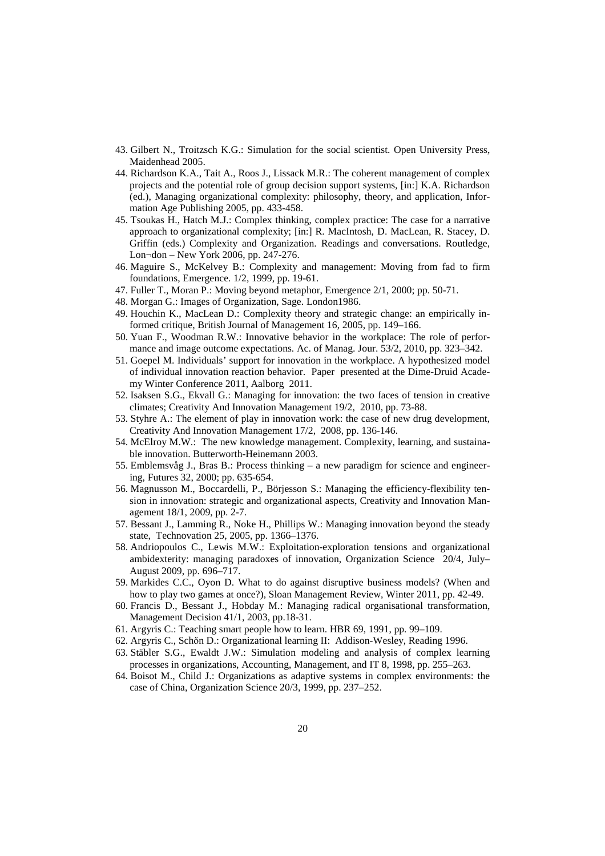- 43. Gilbert N., Troitzsch K.G.: Simulation for the social scientist. Open University Press, Maidenhead 2005.
- 44. Richardson K.A., Tait A., Roos J., Lissack M.R.: The coherent management of complex projects and the potential role of group decision support systems, [in:] K.A. Richardson (ed.), Managing organizational complexity: philosophy, theory, and application, Information Age Publishing 2005, pp. 433-458.
- 45. Tsoukas H., Hatch M.J.: Complex thinking, complex practice: The case for a narrative approach to organizational complexity; [in:] R. MacIntosh, D. MacLean, R. Stacey, D. Griffin (eds.) Complexity and Organization. Readings and conversations. Routledge, Lon¬don – New York 2006, pp. 247-276.
- 46. Maguire S., McKelvey B.: Complexity and management: Moving from fad to firm foundations, Emergence. 1/2, 1999, pp. 19-61.
- 47. Fuller T., Moran P.: Moving beyond metaphor, Emergence 2/1, 2000; pp. 50-71.
- 48. Morgan G.: Images of Organization, Sage. London1986.
- 49. Houchin K., MacLean D.: Complexity theory and strategic change: an empirically informed critique, British Journal of Management 16, 2005, pp. 149–166.
- 50. Yuan F., Woodman R.W.: Innovative behavior in the workplace: The role of performance and image outcome expectations. Ac. of Manag. Jour. 53/2, 2010, pp. 323–342.
- 51. Goepel M. Individuals' support for innovation in the workplace. A hypothesized model of individual innovation reaction behavior. Paper presented at the Dime-Druid Academy Winter Conference 2011, Aalborg 2011.
- 52. Isaksen S.G., Ekvall G.: Managing for innovation: the two faces of tension in creative climates; Creativity And Innovation Management 19/2, 2010, pp. 73-88.
- 53. Styhre A.: The element of play in innovation work: the case of new drug development, Creativity And Innovation Management 17/2, 2008, pp. 136-146.
- 54. McElroy M.W.: The new knowledge management. Complexity, learning, and sustainable innovation. Butterworth-Heinemann 2003.
- 55. Emblemsvåg J., Bras B.: Process thinking a new paradigm for science and engineering, Futures 32, 2000; pp. 635-654.
- 56. Magnusson M., Boccardelli, P., Börjesson S.: Managing the efficiency-flexibility tension in innovation: strategic and organizational aspects, Creativity and Innovation Management 18/1, 2009, pp. 2-7.
- 57. Bessant J., Lamming R., Noke H., Phillips W.: Managing innovation beyond the steady state, Technovation 25, 2005, pp. 1366–1376.
- 58. Andriopoulos C., Lewis M.W.: Exploitation-exploration tensions and organizational ambidexterity: managing paradoxes of innovation, Organization Science 20/4, July– August 2009, pp. 696–717.
- 59. Markides C.C., Oyon D. What to do against disruptive business models? (When and how to play two games at once?), Sloan Management Review, Winter 2011, pp. 42-49.
- 60. Francis D., Bessant J., Hobday M.: Managing radical organisational transformation, Management Decision 41/1, 2003, pp.18-31.
- 61. Argyris C.: Teaching smart people how to learn. HBR 69, 1991, pp. 99–109.
- 62. Argyris C., Schőn D.: Organizational learning II: Addison-Wesley, Reading 1996.
- 63. Stäbler S.G., Ewaldt J.W.: Simulation modeling and analysis of complex learning processes in organizations, Accounting, Management, and IT 8, 1998, pp. 255–263.
- 64. Boisot M., Child J.: Organizations as adaptive systems in complex environments: the case of China, Organization Science 20/3, 1999, pp. 237–252.